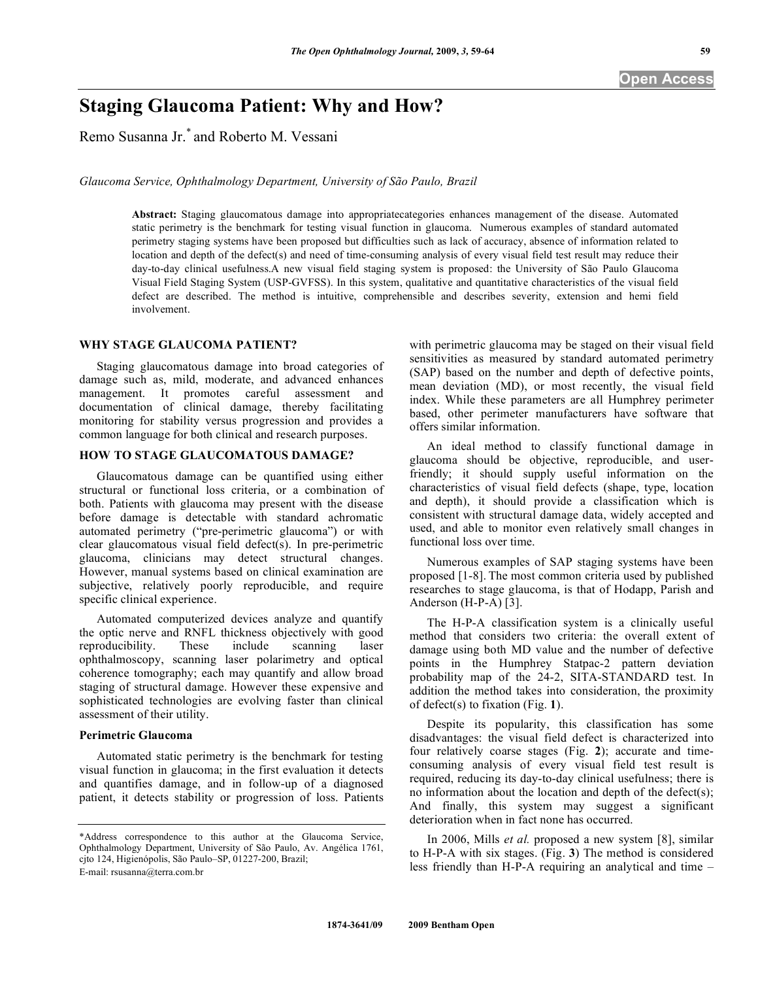# **Staging Glaucoma Patient: Why and How?**

Remo Susanna Jr.\* and Roberto M. Vessani

*Glaucoma Service, Ophthalmology Department, University of São Paulo, Brazil* 

**Abstract:** Staging glaucomatous damage into appropriatecategories enhances management of the disease. Automated static perimetry is the benchmark for testing visual function in glaucoma. Numerous examples of standard automated perimetry staging systems have been proposed but difficulties such as lack of accuracy, absence of information related to location and depth of the defect(s) and need of time-consuming analysis of every visual field test result may reduce their day-to-day clinical usefulness.A new visual field staging system is proposed: the University of São Paulo Glaucoma Visual Field Staging System (USP-GVFSS). In this system, qualitative and quantitative characteristics of the visual field defect are described. The method is intuitive, comprehensible and describes severity, extension and hemi field involvement.

## **WHY STAGE GLAUCOMA PATIENT?**

 Staging glaucomatous damage into broad categories of damage such as, mild, moderate, and advanced enhances management. It promotes careful assessment and documentation of clinical damage, thereby facilitating monitoring for stability versus progression and provides a common language for both clinical and research purposes.

## **HOW TO STAGE GLAUCOMATOUS DAMAGE?**

 Glaucomatous damage can be quantified using either structural or functional loss criteria, or a combination of both. Patients with glaucoma may present with the disease before damage is detectable with standard achromatic automated perimetry ("pre-perimetric glaucoma") or with clear glaucomatous visual field defect(s). In pre-perimetric glaucoma, clinicians may detect structural changes. However, manual systems based on clinical examination are subjective, relatively poorly reproducible, and require specific clinical experience.

 Automated computerized devices analyze and quantify the optic nerve and RNFL thickness objectively with good reproducibility. These include scanning laser ophthalmoscopy, scanning laser polarimetry and optical coherence tomography; each may quantify and allow broad staging of structural damage. However these expensive and sophisticated technologies are evolving faster than clinical assessment of their utility.

#### **Perimetric Glaucoma**

 Automated static perimetry is the benchmark for testing visual function in glaucoma; in the first evaluation it detects and quantifies damage, and in follow-up of a diagnosed patient, it detects stability or progression of loss. Patients with perimetric glaucoma may be staged on their visual field sensitivities as measured by standard automated perimetry (SAP) based on the number and depth of defective points, mean deviation (MD), or most recently, the visual field index. While these parameters are all Humphrey perimeter based, other perimeter manufacturers have software that offers similar information.

 An ideal method to classify functional damage in glaucoma should be objective, reproducible, and userfriendly; it should supply useful information on the characteristics of visual field defects (shape, type, location and depth), it should provide a classification which is consistent with structural damage data, widely accepted and used, and able to monitor even relatively small changes in functional loss over time.

 Numerous examples of SAP staging systems have been proposed [1-8]. The most common criteria used by published researches to stage glaucoma, is that of Hodapp, Parish and Anderson (H-P-A) [3].

 The H-P-A classification system is a clinically useful method that considers two criteria: the overall extent of damage using both MD value and the number of defective points in the Humphrey Statpac-2 pattern deviation probability map of the 24-2, SITA-STANDARD test. In addition the method takes into consideration, the proximity of defect(s) to fixation (Fig. **1**).

 Despite its popularity, this classification has some disadvantages: the visual field defect is characterized into four relatively coarse stages (Fig. **2**); accurate and timeconsuming analysis of every visual field test result is required, reducing its day-to-day clinical usefulness; there is no information about the location and depth of the defect(s); And finally, this system may suggest a significant deterioration when in fact none has occurred.

 In 2006, Mills *et al.* proposed a new system [8], similar to H-P-A with six stages. (Fig. **3**) The method is considered less friendly than H-P-A requiring an analytical and time –

<sup>\*</sup>Address correspondence to this author at the Glaucoma Service, Ophthalmology Department, University of São Paulo, Av. Angélica 1761, cjto 124, Higienópolis, São Paulo–SP, 01227-200, Brazil; E-mail: rsusanna@terra.com.br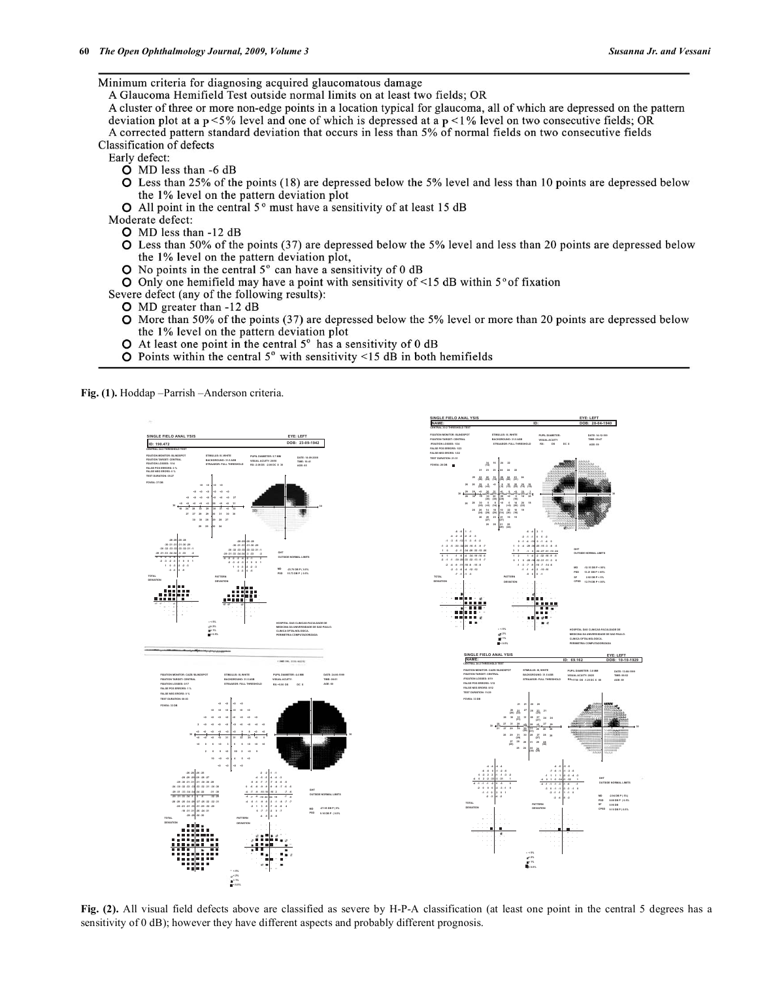Minimum criteria for diagnosing acquired glaucomatous damage

A Glaucoma Hemifield Test outside normal limits on at least two fields; OR

A cluster of three or more non-edge points in a location typical for glaucoma, all of which are depressed on the pattern deviation plot at a  $p < 5\%$  level and one of which is depressed at a  $p < 1\%$  level on two consecutive fields; OR A corrected pattern standard deviation that occurs in less than 5% of normal fields on two consecutive fields Classification of defects

Early defect:

- O MD less than -6 dB
- O Less than 25% of the points (18) are depressed below the 5% level and less than 10 points are depressed below the 1% level on the pattern deviation plot
- $\bullet$  All point in the central 5 $\degree$  must have a sensitivity of at least 15 dB

Moderate defect:

- O MD less than -12 dB
- O Less than 50% of the points (37) are depressed below the 5% level and less than 20 points are depressed below the 1% level on the pattern deviation plot,
- $\bullet$  No points in the central 5 $\degree$  can have a sensitivity of 0 dB
- O Only one hemifield may have a point with sensitivity of  $\leq$  15 dB within 5° of fixation

Severe defect (any of the following results):

- O MD greater than -12 dB
- O More than 50% of the points (37) are depressed below the 5% level or more than 20 points are depressed below the 1% level on the pattern deviation plot
- $\bullet$  At least one point in the central 5 $\degree$  has a sensitivity of 0 dB
- $\bullet$  Points within the central 5° with sensitivity <15 dB in both hemifields

Fig. (1). Hoddap -Parrish -Anderson criteria.





Fig. (2). All visual field defects above are classified as severe by H-P-A classification (at least one point in the central 5 degrees has a sensitivity of 0 dB); however they have different aspects and probably different prognosis.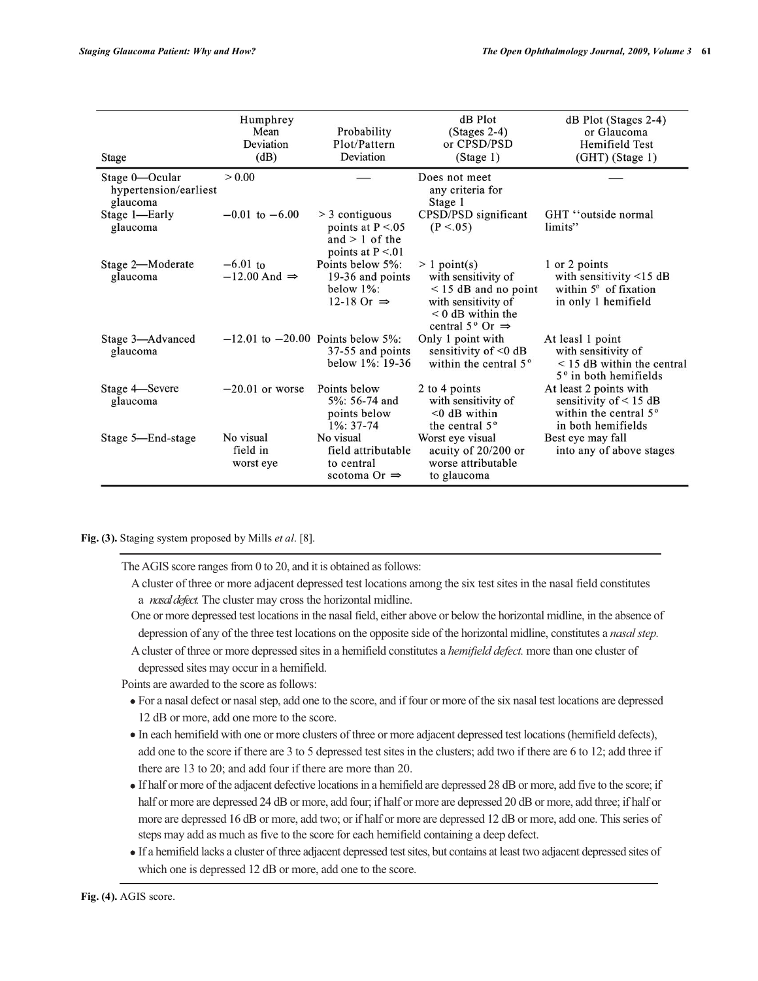| <b>Stage</b>                                        | Humphrey<br>Mean<br>Deviation<br>(dB)    | Probability<br>Plot/Pattern<br>Deviation                                           | dB Plot<br>$(Stages 2-4)$<br>or CPSD/PSD<br>(Stage 1)                                                                                                 | dB Plot (Stages 2-4)<br>or Glaucoma<br>Hemifield Test<br>$(GHT)$ (Stage 1)                                    |
|-----------------------------------------------------|------------------------------------------|------------------------------------------------------------------------------------|-------------------------------------------------------------------------------------------------------------------------------------------------------|---------------------------------------------------------------------------------------------------------------|
| Stage 0-Ocular<br>hypertension/earliest<br>glaucoma | > 0.00                                   |                                                                                    | Does not meet<br>any criteria for<br>Stage 1                                                                                                          |                                                                                                               |
| Stage 1-Early<br>glaucoma                           | $-0.01$ to $-6.00$                       | $>$ 3 contiguous<br>points at $P < 0.05$<br>and $> 1$ of the<br>points at $P < 01$ | CPSD/PSD significant<br>(P < .05)                                                                                                                     | GHT "outside normal"<br>limits"                                                                               |
| Stage 2-Moderate<br>glaucoma                        | $-6.01$ to<br>$-12.00$ And $\Rightarrow$ | Points below 5%:<br>19-36 and points<br>below $1\%$ :<br>12-18 Or $\Rightarrow$    | $> 1$ point(s)<br>with sensitivity of<br>$<$ 15 dB and no point<br>with sensitivity of<br>$< 0$ dB within the<br>central $5^{\circ}$ Or $\Rightarrow$ | 1 or 2 points<br>with sensitivity $<$ 15 dB<br>within $5^{\circ}$ of fixation<br>in only 1 hemifield          |
| Stage 3-Advanced<br>glaucoma                        | $-12.01$ to $-20.00$ Points below 5%:    | 37-55 and points<br>below $1\%$ : 19-36                                            | Only 1 point with<br>sensitivity of $< 0$ dB<br>within the central 5 <sup>°</sup>                                                                     | At leasl 1 point<br>with sensitivity of<br>$<$ 15 dB within the central<br>$5^\circ$ in both hemifields       |
| Stage 4 Severe<br>glaucoma                          | $-20.01$ or worse                        | Points below<br>5%: 56-74 and<br>points below<br>$1\%$ : 37-74                     | 2 to 4 points<br>with sensitivity of<br>$< 0$ dB within<br>the central 5 <sup>°</sup>                                                                 | At least 2 points with<br>sensitivity of $< 15$ dB<br>within the central 5 <sup>°</sup><br>in both hemifields |
| Stage 5-End-stage                                   | No visual<br>field in<br>worst eye       | No visual<br>field attributable<br>to central<br>scotoma Or $\Rightarrow$          | Worst eye visual<br>acuity of 20/200 or<br>worse attributable<br>to glaucoma                                                                          | Best eye may fall<br>into any of above stages                                                                 |

**Fig. (3).** Staging system proposed by Mills *et al*. [8].

The AGIS score ranges from  $0$  to  $20$ , and it is obtained as follows:

A cluster of three or more adjacent depressed test locations among the six test sites in the nasal field constitutes a nasal defect. The cluster may cross the horizontal midline.

One or more depressed test locations in the nasal field, either above or below the horizontal midline, in the absence of depression of any of the three test locations on the opposite side of the horizontal midline, constitutes a nasal step.

A cluster of three or more depressed sites in a hemifield constitutes a *hemifield defect*. more than one cluster of depressed sites may occur in a hemifield.

Points are awarded to the score as follows:

- For a nasal defect or nasal step, add one to the score, and if four or more of the six nasal test locations are depressed 12 dB or more, add one more to the score.
- In each hemifield with one or more clusters of three or more adjacent depressed test locations (hemifield defects), add one to the score if there are 3 to 5 depressed test sites in the clusters; add two if there are 6 to 12; add three if there are  $13$  to  $20$ ; and add four if there are more than  $20$ .
- If half or more of the adjacent defective locations in a hemifield are depressed 28 dB or more, add five to the score; if half or more are depressed 24 dB or more, add four; if half or more are depressed 20 dB or more, add three; if half or more are depressed 16 dB or more, add two; or if half or more are depressed 12 dB or more, add one. This series of steps may add as much as five to the score for each hemifield containing a deep defect.
- If a hemifield lacks a cluster of three adjacent depressed test sites, but contains at least two adjacent depressed sites of which one is depressed 12 dB or more, add one to the score.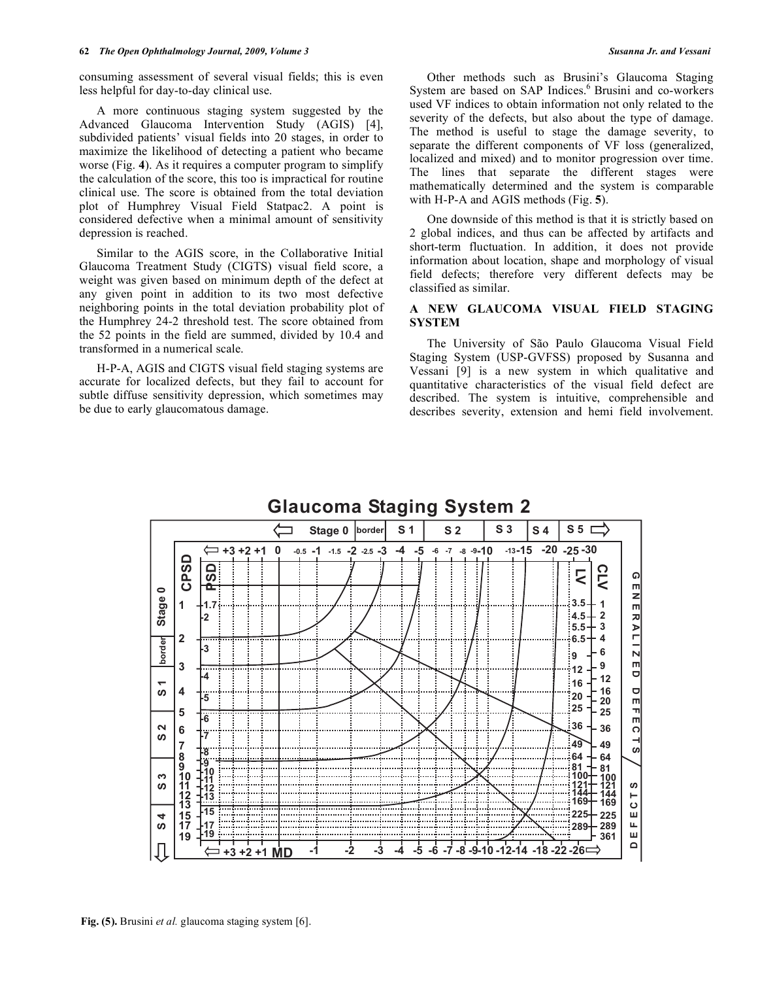consuming assessment of several visual fields; this is even less helpful for day-to-day clinical use.

 A more continuous staging system suggested by the Advanced Glaucoma Intervention Study (AGIS) [4], subdivided patients' visual fields into 20 stages, in order to maximize the likelihood of detecting a patient who became worse (Fig. **4**). As it requires a computer program to simplify the calculation of the score, this too is impractical for routine clinical use. The score is obtained from the total deviation plot of Humphrey Visual Field Statpac2. A point is considered defective when a minimal amount of sensitivity depression is reached.

 Similar to the AGIS score, in the Collaborative Initial Glaucoma Treatment Study (CIGTS) visual field score, a weight was given based on minimum depth of the defect at any given point in addition to its two most defective neighboring points in the total deviation probability plot of the Humphrey 24-2 threshold test. The score obtained from the 52 points in the field are summed, divided by 10.4 and transformed in a numerical scale.

 H-P-A, AGIS and CIGTS visual field staging systems are accurate for localized defects, but they fail to account for subtle diffuse sensitivity depression, which sometimes may be due to early glaucomatous damage.

 Other methods such as Brusini's Glaucoma Staging System are based on SAP Indices.<sup>6</sup> Brusini and co-workers used VF indices to obtain information not only related to the severity of the defects, but also about the type of damage. The method is useful to stage the damage severity, to separate the different components of VF loss (generalized, localized and mixed) and to monitor progression over time. The lines that separate the different stages were mathematically determined and the system is comparable with H-P-A and AGIS methods (Fig. **5**).

 One downside of this method is that it is strictly based on 2 global indices, and thus can be affected by artifacts and short-term fluctuation. In addition, it does not provide information about location, shape and morphology of visual field defects; therefore very different defects may be classified as similar.

## **A NEW GLAUCOMA VISUAL FIELD STAGING SYSTEM**

 The University of São Paulo Glaucoma Visual Field Staging System (USP-GVFSS) proposed by Susanna and Vessani [9] is a new system in which qualitative and quantitative characteristics of the visual field defect are described. The system is intuitive, comprehensible and describes severity, extension and hemi field involvement.

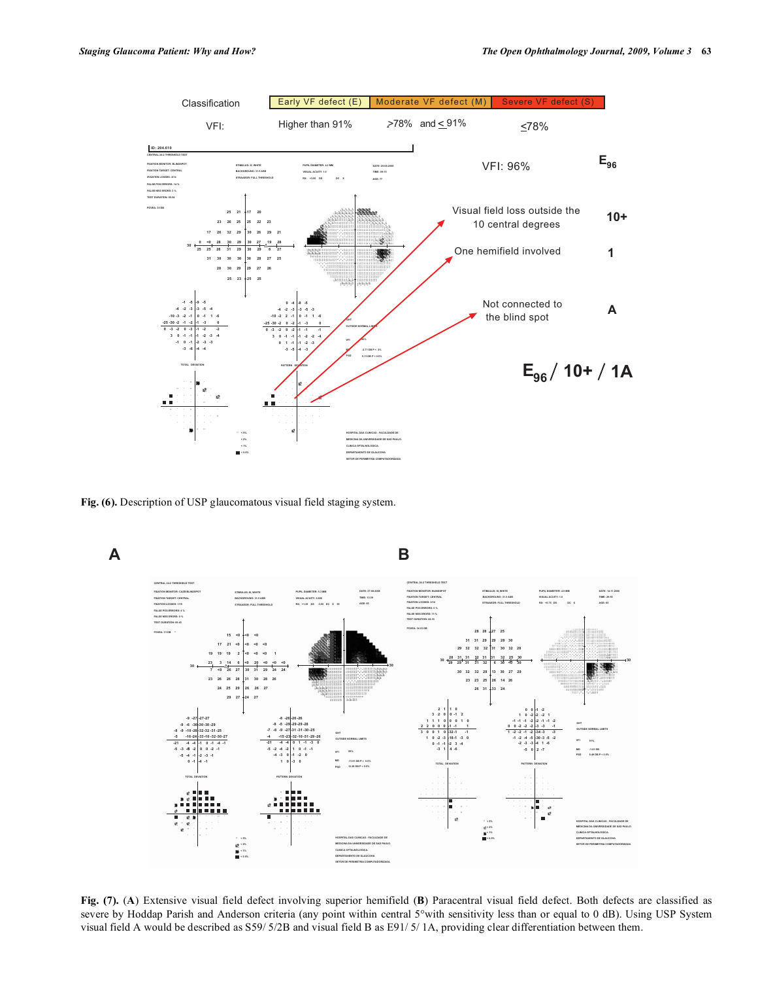

Fig. (6). Description of USP glaucomatous visual field staging system.



Fig. (7). (A) Extensive visual field defect involving superior hemifield (B) Paracentral visual field defect. Both defects are classified as severe by Hoddap Parish and Anderson criteria (any point within central 5° with sensitivity less than or equal to 0 dB). Using USP System visual field A would be described as S59/5/2B and visual field B as E91/5/1A, providing clear differentiation between them.